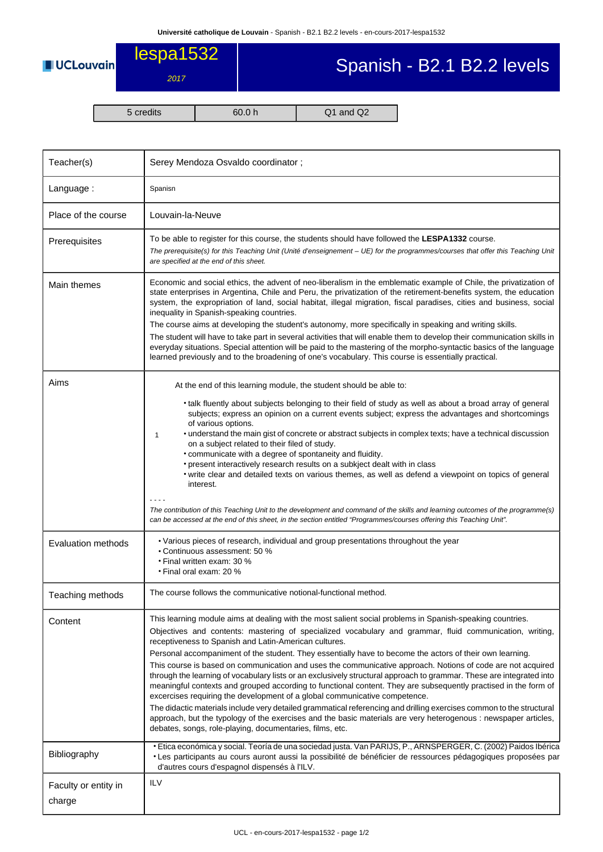

## Spanish - B2.1 B2.2 levels

lespa1532

2017

5 credits 60.0 h Q1 and Q2

| Teacher(s)                     | Serey Mendoza Osvaldo coordinator;                                                                                                                                                                                                                                                                                                                                                                                                                                                                                                                                                                                                                                                                                                                                                                                                                                                                                                                                                                                                                                                                                                       |  |  |  |
|--------------------------------|------------------------------------------------------------------------------------------------------------------------------------------------------------------------------------------------------------------------------------------------------------------------------------------------------------------------------------------------------------------------------------------------------------------------------------------------------------------------------------------------------------------------------------------------------------------------------------------------------------------------------------------------------------------------------------------------------------------------------------------------------------------------------------------------------------------------------------------------------------------------------------------------------------------------------------------------------------------------------------------------------------------------------------------------------------------------------------------------------------------------------------------|--|--|--|
| Language:                      | Spanisn                                                                                                                                                                                                                                                                                                                                                                                                                                                                                                                                                                                                                                                                                                                                                                                                                                                                                                                                                                                                                                                                                                                                  |  |  |  |
| Place of the course            | Louvain-la-Neuve                                                                                                                                                                                                                                                                                                                                                                                                                                                                                                                                                                                                                                                                                                                                                                                                                                                                                                                                                                                                                                                                                                                         |  |  |  |
| Prerequisites                  | To be able to register for this course, the students should have followed the LESPA1332 course.<br>The prerequisite(s) for this Teaching Unit (Unité d'enseignement - UE) for the programmes/courses that offer this Teaching Unit<br>are specified at the end of this sheet.                                                                                                                                                                                                                                                                                                                                                                                                                                                                                                                                                                                                                                                                                                                                                                                                                                                            |  |  |  |
| Main themes                    | Economic and social ethics, the advent of neo-liberalism in the emblematic example of Chile, the privatization of<br>state enterprises in Argentina, Chile and Peru, the privatization of the retirement-benefits system, the education<br>system, the expropriation of land, social habitat, illegal migration, fiscal paradises, cities and business, social<br>inequality in Spanish-speaking countries.<br>The course aims at developing the student's autonomy, more specifically in speaking and writing skills.<br>The student will have to take part in several activities that will enable them to develop their communication skills in<br>everyday situations. Special attention will be paid to the mastering of the morpho-syntactic basics of the language<br>learned previously and to the broadening of one's vocabulary. This course is essentially practical.                                                                                                                                                                                                                                                          |  |  |  |
| Aims                           | At the end of this learning module, the student should be able to:<br>• talk fluently about subjects belonging to their field of study as well as about a broad array of general<br>subjects; express an opinion on a current events subject; express the advantages and shortcomings<br>of various options.<br>• understand the main gist of concrete or abstract subjects in complex texts; have a technical discussion<br>$\mathbf{1}$<br>on a subject related to their filed of study.<br>• communicate with a degree of spontaneity and fluidity.<br>• present interactively research results on a subkject dealt with in class<br>• write clear and detailed texts on various themes, as well as defend a viewpoint on topics of general<br>interest.<br>The contribution of this Teaching Unit to the development and command of the skills and learning outcomes of the programme(s)                                                                                                                                                                                                                                             |  |  |  |
| Evaluation methods             | can be accessed at the end of this sheet, in the section entitled "Programmes/courses offering this Teaching Unit".<br>• Various pieces of research, individual and group presentations throughout the year<br>• Continuous assessment: 50 %<br>• Final written exam: 30 %<br>• Final oral exam: 20 %                                                                                                                                                                                                                                                                                                                                                                                                                                                                                                                                                                                                                                                                                                                                                                                                                                    |  |  |  |
| Teaching methods               | The course follows the communicative notional-functional method.                                                                                                                                                                                                                                                                                                                                                                                                                                                                                                                                                                                                                                                                                                                                                                                                                                                                                                                                                                                                                                                                         |  |  |  |
| Content                        | This learning module aims at dealing with the most salient social problems in Spanish-speaking countries.<br>Objectives and contents: mastering of specialized vocabulary and grammar, fluid communication, writing,<br>receptiveness to Spanish and Latin-American cultures.<br>Personal accompaniment of the student. They essentially have to become the actors of their own learning.<br>This course is based on communication and uses the communicative approach. Notions of code are not acquired<br>through the learning of vocabulary lists or an exclusively structural approach to grammar. These are integrated into<br>meaningful contexts and grouped according to functional content. They are subsequently practised in the form of<br>excercises requiring the development of a global communicative competence.<br>The didactic materials include very detailed grammatical referencing and drilling exercises common to the structural<br>approach, but the typology of the exercises and the basic materials are very heterogenous : newspaper articles,<br>debates, songs, role-playing, documentaries, films, etc. |  |  |  |
| Bibliography                   | · Etica económica y social. Teoría de una sociedad justa. Van PARIJS, P., ARNSPERGER, C. (2002) Paidos Ibérica<br>· Les participants au cours auront aussi la possibilité de bénéficier de ressources pédagogiques proposées par<br>d'autres cours d'espagnol dispensés à l'ILV.                                                                                                                                                                                                                                                                                                                                                                                                                                                                                                                                                                                                                                                                                                                                                                                                                                                         |  |  |  |
| Faculty or entity in<br>charge | <b>ILV</b>                                                                                                                                                                                                                                                                                                                                                                                                                                                                                                                                                                                                                                                                                                                                                                                                                                                                                                                                                                                                                                                                                                                               |  |  |  |